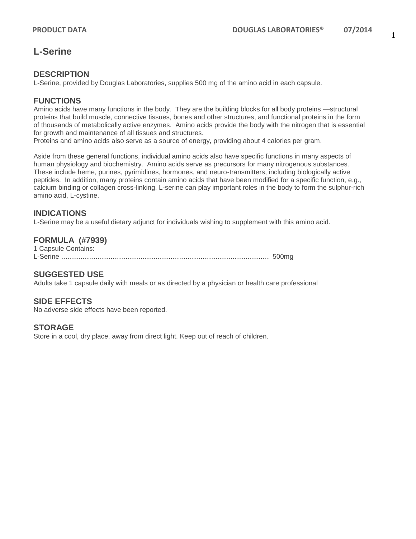# **L-Serine**

### **DESCRIPTION**

L-Serine, provided by Douglas Laboratories, supplies 500 mg of the amino acid in each capsule.

### **FUNCTIONS**

Amino acids have many functions in the body. They are the building blocks for all body proteins —structural proteins that build muscle, connective tissues, bones and other structures, and functional proteins in the form of thousands of metabolically active enzymes. Amino acids provide the body with the nitrogen that is essential for growth and maintenance of all tissues and structures.

Proteins and amino acids also serve as a source of energy, providing about 4 calories per gram.

Aside from these general functions, individual amino acids also have specific functions in many aspects of human physiology and biochemistry. Amino acids serve as precursors for many nitrogenous substances. These include heme, purines, pyrimidines, hormones, and neuro-transmitters, including biologically active peptides. In addition, many proteins contain amino acids that have been modified for a specific function, e.g., calcium binding or collagen cross-linking. L-serine can play important roles in the body to form the sulphur-rich amino acid, L-cystine.

#### **INDICATIONS**

L-Serine may be a useful dietary adjunct for individuals wishing to supplement with this amino acid.

### **FORMULA (#7939)**

| 1 Capsule Contains: |  |
|---------------------|--|
|                     |  |

#### **SUGGESTED USE**

Adults take 1 capsule daily with meals or as directed by a physician or health care professional

#### **SIDE EFFECTS**

No adverse side effects have been reported.

#### **STORAGE**

Store in a cool, dry place, away from direct light. Keep out of reach of children.